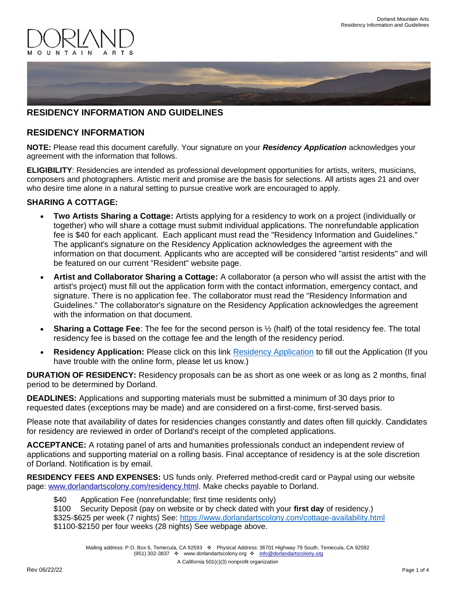

# **RESIDENCY INFORMATION AND GUIDELINES**

## **RESIDENCY INFORMATION**

**NOTE:** Please read this document carefully. Your signature on your *Residency Application* acknowledges your agreement with the information that follows.

**ELIGIBILITY**: Residencies are intended as professional development opportunities for artists, writers, musicians, composers and photographers. Artistic merit and promise are the basis for selections. All artists ages 21 and over who desire time alone in a natural setting to pursue creative work are encouraged to apply.

#### **SHARING A COTTAGE:**

- **Two Artists Sharing a Cottage:** Artists applying for a residency to work on a project (individually or together) who will share a cottage must submit individual applications. The nonrefundable application fee is \$40 for each applicant. Each applicant must read the "Residency Information and Guidelines." The applicant's signature on the Residency Application acknowledges the agreement with the information on that document. Applicants who are accepted will be considered "artist residents" and will be featured on our current "Resident" website page.
- **Artist and Collaborator Sharing a Cottage:** A collaborator (a person who will assist the artist with the artist's project) must fill out the application form with the contact information, emergency contact, and signature. There is no application fee. The collaborator must read the "Residency Information and Guidelines." The collaborator's signature on the Residency Application acknowledges the agreement with the information on that document.
- **Sharing a Cottage Fee**: The fee for the second person is  $\frac{1}{2}$  (half) of the total residency fee. The total residency fee is based on the cottage fee and the length of the residency period.
- **[Residency Application](https://www.dorlandartscolony.com/residency-application.html):** Please click on this link Residency Application to fill out the Application (If you have trouble with the online form, please let us know.)

**DURATION OF RESIDENCY:** Residency proposals can be as short as one week or as long as 2 months, final period to be determined by Dorland.

**DEADLINES:** Applications and supporting materials must be submitted a minimum of 30 days prior to requested dates (exceptions may be made) and are considered on a first-come, first-served basis.

Please note that availability of dates for residencies changes constantly and dates often fill quickly. Candidates for residency are reviewed in order of Dorland's receipt of the completed applications.

**ACCEPTANCE:** A rotating panel of arts and humanities professionals conduct an independent review of applications and supporting material on a rolling basis. Final acceptance of residency is at the sole discretion of Dorland. Notification is by email.

**RESIDENCY FEES AND EXPENSES:** US funds only. Preferred method-credit card or Paypal using our website page: [www.dorlandartscolony.com/residency.html.](http://www.dorlandartscolony.com/residency.html) Make checks payable to Dorland.

\$40 Application Fee (nonrefundable; first time residents only)

\$100 Security Deposit (pay on website or by check dated with your **first day** of residency.) \$325-\$625 per week (7 nights) See:<https://www.dorlandartscolony.com/cottage-availability.html> \$1100-\$2150 per four weeks (28 nights) See webpage above.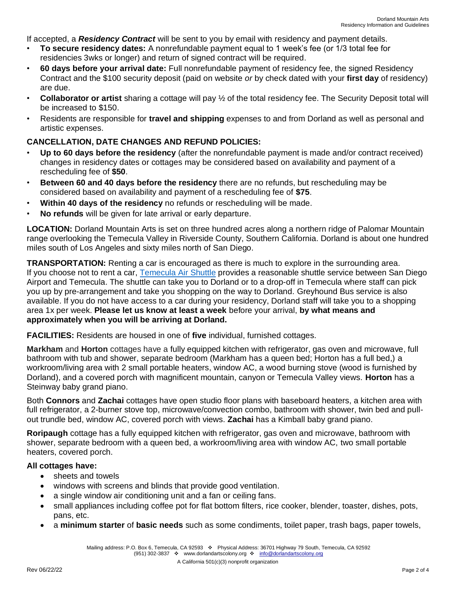If accepted, a *Residency Contract* will be sent to you by email with residency and payment details.

- **To secure residency dates:** A nonrefundable payment equal to 1 week's fee (or 1/3 total fee for residencies 3wks or longer) and return of signed contract will be required.
- **60 days before your arrival date:** Full nonrefundable payment of residency fee, the signed Residency Contract and the \$100 security deposit (paid on website *or* by check dated with your **first day** of residency) are due.
- **Collaborator or artist** sharing a cottage will pay ½ of the total residency fee. The Security Deposit total will be increased to \$150.
- Residents are responsible for **travel and shipping** expenses to and from Dorland as well as personal and artistic expenses.

## **CANCELLATION, DATE CHANGES AND REFUND POLICIES:**

- **Up to 60 days before the residency** (after the nonrefundable payment is made and/or contract received) changes in residency dates or cottages may be considered based on availability and payment of a rescheduling fee of **\$50**.
- **Between 60 and 40 days before the residency** there are no refunds, but rescheduling may be considered based on availability and payment of a rescheduling fee of **\$75**.
- **Within 40 days of the residency** no refunds or rescheduling will be made.
- **No refunds** will be given for late arrival or early departure.

**LOCATION:** Dorland Mountain Arts is set on three hundred acres along a northern ridge of Palomar Mountain range overlooking the Temecula Valley in Riverside County, Southern California. Dorland is about one hundred miles south of Los Angeles and sixty miles north of San Diego.

**TRANSPORTATION:** Renting a car is encouraged as there is much to explore in the surrounding area. If you choose not to rent a car, [Temecula Air](http://www.temeculaairshuttle.com/) Shuttle provides a reasonable shuttle service between San Diego Airport and Temecula. The shuttle can take you to Dorland or to a drop-off in Temecula where staff can pick you up by pre-arrangement and take you shopping on the way to Dorland. Greyhound Bus service is also available. If you do not have access to a car during your residency, Dorland staff will take you to a shopping area 1x per week. **Please let us know at least a week** before your arrival, **by what means and approximately when you will be arriving at Dorland.**

**FACILITIES:** Residents are housed in one of **five** individual, furnished cottages.

**Markham** and **Horton** cottages have a fully equipped kitchen with refrigerator, gas oven and microwave, full bathroom with tub and shower, separate bedroom (Markham has a queen bed; Horton has a full bed,) a workroom/living area with 2 small portable heaters, window AC, a wood burning stove (wood is furnished by Dorland), and a covered porch with magnificent mountain, canyon or Temecula Valley views. **Horton** has a Steinway baby grand piano.

Both **Connors** and **Zachai** cottages have open studio floor plans with baseboard heaters, a kitchen area with full refrigerator, a 2-burner stove top, microwave/convection combo, bathroom with shower, twin bed and pullout trundle bed, window AC, covered porch with views. **Zachai** has a Kimball baby grand piano.

**Roripaugh** cottage has a fully equipped kitchen with refrigerator, gas oven and microwave, bathroom with shower, separate bedroom with a queen bed, a workroom/living area with window AC, two small portable heaters, covered porch.

#### **All cottages have:**

- sheets and towels
- windows with screens and blinds that provide good ventilation.
- a single window air conditioning unit and a fan or ceiling fans.
- small appliances including coffee pot for flat bottom filters, rice cooker, blender, toaster, dishes, pots, pans, etc.
- a **minimum starter** of **basic needs** such as some condiments, toilet paper, trash bags, paper towels,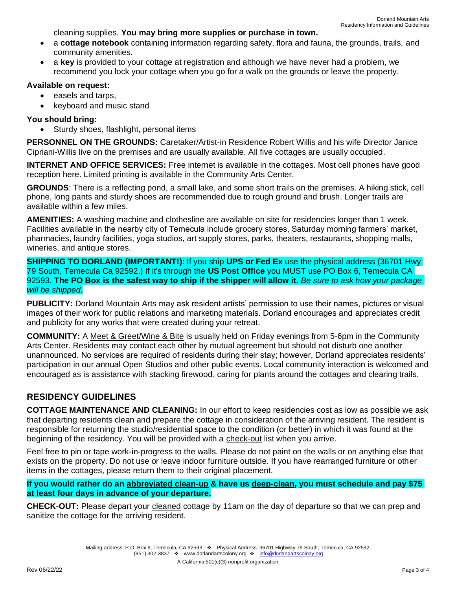cleaning supplies. **You may bring more supplies or purchase in town.**

- a **cottage notebook** containing information regarding safety, flora and fauna, the grounds, trails, and community amenities.
- a **key** is provided to your cottage at registration and although we have never had a problem, we recommend you lock your cottage when you go for a walk on the grounds or leave the property.

#### **Available on request:**

- easels and tarps,
- keyboard and music stand

## **You should bring:**

Sturdy shoes, flashlight, personal items

**PERSONNEL ON THE GROUNDS:** Caretaker/Artist-in Residence Robert Willis and his wife Director Janice Cipriani-Willis live on the premises and are usually available. All five cottages are usually occupied.

**INTERNET AND OFFICE SERVICES:** Free internet is available in the cottages. Most cell phones have good reception here. Limited printing is available in the Community Arts Center.

**GROUNDS**: There is a reflecting pond, a small lake, and some short trails on the premises. A hiking stick, cell phone, long pants and sturdy shoes are recommended due to rough ground and brush. Longer trails are available within a few miles.

**AMENITIES:** A washing machine and clothesline are available on site for residencies longer than 1 week. Facilities available in the nearby city of Temecula include grocery stores, Saturday morning farmers' market, pharmacies, laundry facilities, yoga studios, art supply stores, parks, theaters, restaurants, shopping malls, wineries, and antique stores.

**SHIPPING TO DORLAND (IMPORTANT!)**: If you ship **UPS or Fed Ex** use the physical address (36701 Hwy 79 South, Temecula Ca 92592.) If it's through the **US Post Office** you MUST use PO Box 6, Temecula CA 92593. **The PO Box is the safest way to ship if the shipper will allow it.** *Be sure to ask how your package will be shipped.*

**PUBLICITY:** Dorland Mountain Arts may ask resident artists' permission to use their names, pictures or visual images of their work for public relations and marketing materials. Dorland encourages and appreciates credit and publicity for any works that were created during your retreat.

**COMMUNITY:** A Meet & Greet/Wine & Bite is usually held on Friday evenings from 5-6pm in the Community Arts Center. Residents may contact each other by mutual agreement but should not disturb one another unannounced. No services are required of residents during their stay; however, Dorland appreciates residents' participation in our annual Open Studios and other public events. Local community interaction is welcomed and encouraged as is assistance with stacking firewood, caring for plants around the cottages and clearing trails.

# **RESIDENCY GUIDELINES**

**COTTAGE MAINTENANCE AND CLEANING:** In our effort to keep residencies cost as low as possible we ask that departing residents clean and prepare the cottage in consideration of the arriving resident. The resident is responsible for returning the studio/residential space to the condition (or better) in which it was found at the beginning of the residency. You will be provided with a check-out list when you arrive.

Feel free to pin or tape work-in-progress to the walls. Please do not paint on the walls or on anything else that exists on the property. Do not use or leave indoor furniture outside. If you have rearranged furniture or other items in the cottages, please return them to their original placement.

## **If you would rather do an abbreviated clean-up & have us deep-clean, you must schedule and pay \$75 at least four days in advance of your departure.**

**CHECK-OUT:** Please depart your cleaned cottage by 11am on the day of departure so that we can prep and sanitize the cottage for the arriving resident.